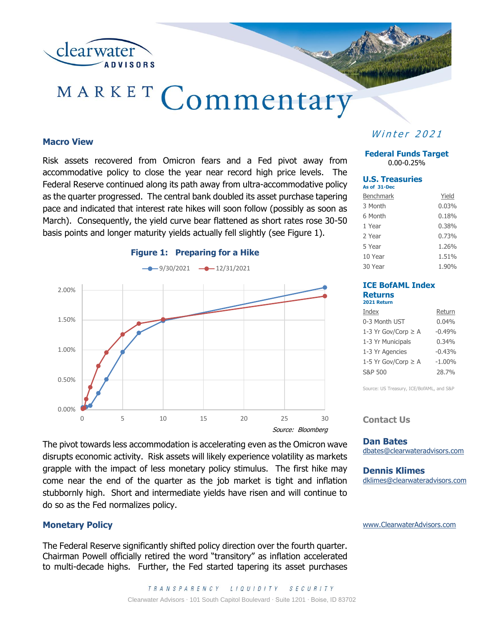

# MARKET Commentary

#### **Macro View**

Risk assets recovered from Omicron fears and a Fed pivot away from accommodative policy to close the year near record high price levels. The Federal Reserve continued along its path away from ultra-accommodative policy as the quarter progressed. The central bank doubled its asset purchase tapering pace and indicated that interest rate hikes will soon follow (possibly as soon as March). Consequently, the yield curve bear flattened as short rates rose 30-50 basis points and longer maturity yields actually fell slightly (see Figure 1).



**Winter 2021** 

**Federal Funds Target** 0.00-0.25%

#### **U.S. Treasuries As of 31-Dec**

| <b>Benchmark</b> | Yield |
|------------------|-------|
| 3 Month          | 0.03% |
| 6 Month          | 0.18% |
| 1 Year           | 0.38% |
| 2 Year           | 0.73% |
| 5 Year           | 1.26% |
| 10 Year          | 1.51% |
| 30 Year          | 1.90% |

#### **ICE BofAML Index Returns 2021 Return**

| Index                    | Return    |
|--------------------------|-----------|
| 0-3 Month UST            | $0.04\%$  |
| 1-3 Yr Gov/Corp ≥ A      | $-0.49%$  |
| 1-3 Yr Municipals        | $0.34\%$  |
| 1-3 Yr Agencies          | $-0.43%$  |
| 1-5 Yr Gov/Corp $\geq$ A | $-1.00\%$ |
| S&P 500                  | 28.7%     |

Source: US Treasury, ICE/BofAML, and S&P

**Contact Us**

**Dan Bates** dbates@clearwateradvisors.com

**Dennis Klimes** dklimes@clearwateradvisors.com

[www.ClearwaterAdvisors.com](http://www.clearwateradvisors.com/)

## **Monetary Policy**

do so as the Fed normalizes policy.

The Federal Reserve significantly shifted policy direction over the fourth quarter. Chairman Powell officially retired the word "transitory" as inflation accelerated to multi-decade highs. Further, the Fed started tapering its asset purchases

disrupts economic activity. Risk assets will likely experience volatility as markets grapple with the impact of less monetary policy stimulus. The first hike may come near the end of the quarter as the job market is tight and inflation stubbornly high. Short and intermediate yields have risen and will continue to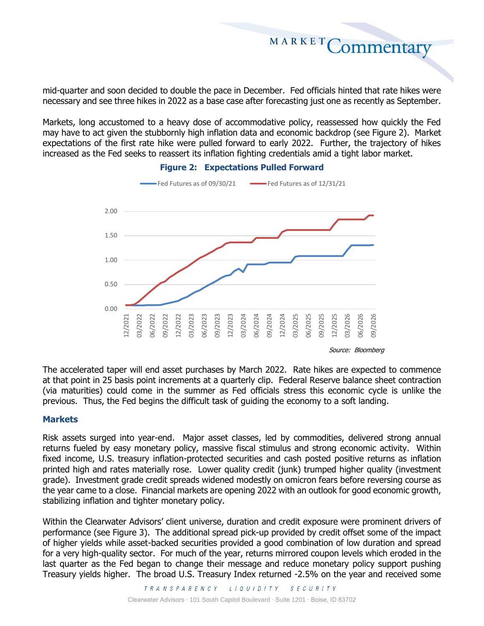mid-quarter and soon decided to double the pace in December. Fed officials hinted that rate hikes were necessary and see three hikes in 2022 as a base case after forecasting just one as recently as September.

MARKET

Commentary

Markets, long accustomed to a heavy dose of accommodative policy, reassessed how quickly the Fed may have to act given the stubbornly high inflation data and economic backdrop (see Figure 2). Market expectations of the first rate hike were pulled forward to early 2022. Further, the trajectory of hikes increased as the Fed seeks to reassert its inflation fighting credentials amid a tight labor market.



## **Figure 2: Expectations Pulled Forward**

The accelerated taper will end asset purchases by March 2022. Rate hikes are expected to commence at that point in 25 basis point increments at a quarterly clip. Federal Reserve balance sheet contraction (via maturities) could come in the summer as Fed officials stress this economic cycle is unlike the previous. Thus, the Fed begins the difficult task of guiding the economy to a soft landing.

### **Markets**

Risk assets surged into year-end. Major asset classes, led by commodities, delivered strong annual returns fueled by easy monetary policy, massive fiscal stimulus and strong economic activity. Within fixed income, U.S. treasury inflation-protected securities and cash posted positive returns as inflation printed high and rates materially rose. Lower quality credit (junk) trumped higher quality (investment grade). Investment grade credit spreads widened modestly on omicron fears before reversing course as the year came to a close. Financial markets are opening 2022 with an outlook for good economic growth, stabilizing inflation and tighter monetary policy.

Within the Clearwater Advisors' client universe, duration and credit exposure were prominent drivers of performance (see Figure 3). The additional spread pick-up provided by credit offset some of the impact of higher yields while asset-backed securities provided a good combination of low duration and spread for a very high-quality sector. For much of the year, returns mirrored coupon levels which eroded in the last quarter as the Fed began to change their message and reduce monetary policy support pushing Treasury yields higher. The broad U.S. Treasury Index returned -2.5% on the year and received some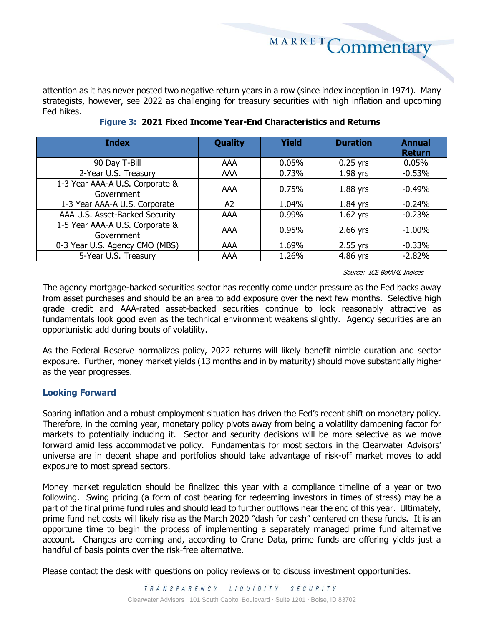MARKETCommentary

attention as it has never posted two negative return years in a row (since index inception in 1974). Many strategists, however, see 2022 as challenging for treasury securities with high inflation and upcoming Fed hikes.

| <b>Index</b>                                  | <b>Quality</b> | <b>Yield</b> | <b>Duration</b> | <b>Annual</b><br><b>Return</b> |
|-----------------------------------------------|----------------|--------------|-----------------|--------------------------------|
| 90 Day T-Bill                                 | AAA            | 0.05%        | $0.25$ yrs      | 0.05%                          |
| 2-Year U.S. Treasury                          | AAA            | 0.73%        | $1.98$ yrs      | $-0.53%$                       |
| 1-3 Year AAA-A U.S. Corporate &<br>Government | AAA            | 0.75%        | $1.88$ yrs      | $-0.49%$                       |
| 1-3 Year AAA-A U.S. Corporate                 | A <sub>2</sub> | 1.04%        | $1.84$ yrs      | $-0.24%$                       |
| AAA U.S. Asset-Backed Security                | AAA            | 0.99%        | $1.62$ yrs      | $-0.23%$                       |
| 1-5 Year AAA-A U.S. Corporate &<br>Government | AAA            | 0.95%        | $2.66$ yrs      | $-1.00\%$                      |
| 0-3 Year U.S. Agency CMO (MBS)                | AAA            | 1.69%        | 2.55 yrs        | $-0.33\%$                      |
| 5-Year U.S. Treasury                          | AAA            | 1.26%        | 4.86 yrs        | $-2.82%$                       |

**Figure 3: 2021 Fixed Income Year-End Characteristics and Returns**

Source: ICE BofAML Indices

The agency mortgage-backed securities sector has recently come under pressure as the Fed backs away from asset purchases and should be an area to add exposure over the next few months. Selective high grade credit and AAA-rated asset-backed securities continue to look reasonably attractive as fundamentals look good even as the technical environment weakens slightly. Agency securities are an opportunistic add during bouts of volatility.

As the Federal Reserve normalizes policy, 2022 returns will likely benefit nimble duration and sector exposure. Further, money market yields (13 months and in by maturity) should move substantially higher as the year progresses.

## **Looking Forward**

Soaring inflation and a robust employment situation has driven the Fed's recent shift on monetary policy. Therefore, in the coming year, monetary policy pivots away from being a volatility dampening factor for markets to potentially inducing it. Sector and security decisions will be more selective as we move forward amid less accommodative policy. Fundamentals for most sectors in the Clearwater Advisors' universe are in decent shape and portfolios should take advantage of risk-off market moves to add exposure to most spread sectors.

Money market regulation should be finalized this year with a compliance timeline of a year or two following. Swing pricing (a form of cost bearing for redeeming investors in times of stress) may be a part of the final prime fund rules and should lead to further outflows near the end of this year. Ultimately, prime fund net costs will likely rise as the March 2020 "dash for cash" centered on these funds. It is an opportune time to begin the process of implementing a separately managed prime fund alternative account. Changes are coming and, according to Crane Data, prime funds are offering yields just a handful of basis points over the risk-free alternative.

Please contact the desk with questions on policy reviews or to discuss investment opportunities.